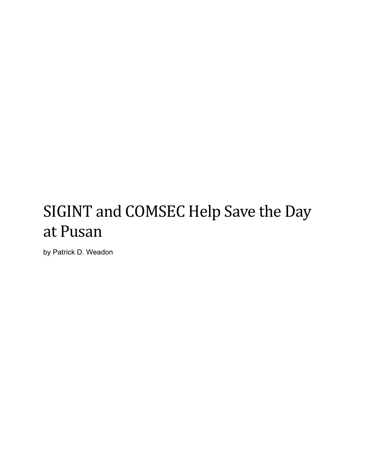# SIGINT and COMSEC Help Save the Day at Pusan

by Patrick D. Weadon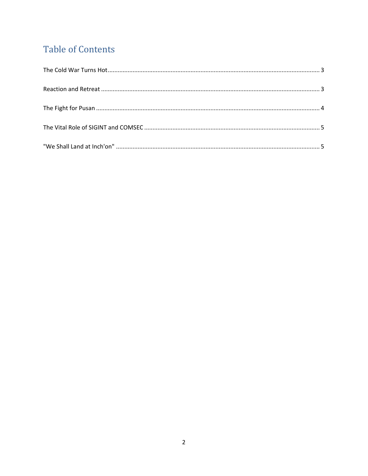# **Table of Contents**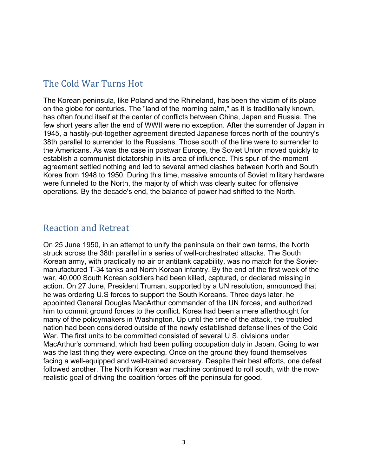#### <span id="page-2-0"></span>The Cold War Turns Hot

The Korean peninsula, like Poland and the Rhineland, has been the victim of its place on the globe for centuries. The "land of the morning calm," as it is traditionally known, has often found itself at the center of conflicts between China, Japan and Russia. The few short years after the end of WWII were no exception. After the surrender of Japan in 1945, a hastily-put-together agreement directed Japanese forces north of the country's 38th parallel to surrender to the Russians. Those south of the line were to surrender to the Americans. As was the case in postwar Europe, the Soviet Union moved quickly to establish a communist dictatorship in its area of influence. This spur-of-the-moment agreement settled nothing and led to several armed clashes between North and South Korea from 1948 to 1950. During this time, massive amounts of Soviet military hardware were funneled to the North, the majority of which was clearly suited for offensive operations. By the decade's end, the balance of power had shifted to the North.

#### <span id="page-2-1"></span>Reaction and Retreat

On 25 June 1950, in an attempt to unify the peninsula on their own terms, the North struck across the 38th parallel in a series of well-orchestrated attacks. The South Korean army, with practically no air or antitank capability, was no match for the Sovietmanufactured T-34 tanks and North Korean infantry. By the end of the first week of the war, 40,000 South Korean soldiers had been killed, captured, or declared missing in action. On 27 June, President Truman, supported by a UN resolution, announced that he was ordering U.S forces to support the South Koreans. Three days later, he appointed General Douglas MacArthur commander of the UN forces, and authorized him to commit ground forces to the conflict. Korea had been a mere afterthought for many of the policymakers in Washington. Up until the time of the attack, the troubled nation had been considered outside of the newly established defense lines of the Cold War. The first units to be committed consisted of several U.S. divisions under MacArthur's command, which had been pulling occupation duty in Japan. Going to war was the last thing they were expecting. Once on the ground they found themselves facing a well-equipped and well-trained adversary. Despite their best efforts, one defeat followed another. The North Korean war machine continued to roll south, with the nowrealistic goal of driving the coalition forces off the peninsula for good.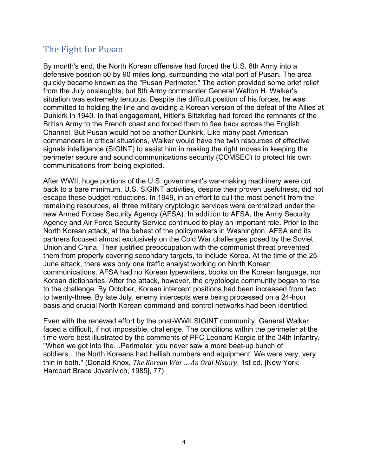## <span id="page-3-0"></span>The Fight for Pusan

By month's end, the North Korean offensive had forced the U.S. 8th Army into a defensive position 50 by 90 miles long, surrounding the vital port of Pusan. The area quickly became known as the "Pusan Perimeter." The action provided some brief relief from the July onslaughts, but 8th Army commander General Walton H. Walker's situation was extremely tenuous. Despite the difficult position of his forces, he was committed to holding the line and avoiding a Korean version of the defeat of the Allies at Dunkirk in 1940. In that engagement, Hitler's Blitzkrieg had forced the remnants of the British Army to the French coast and forced them to flee back across the English Channel. But Pusan would not be another Dunkirk. Like many past American commanders in critical situations, Walker would have the twin resources of effective signals intelligence (SIGINT) to assist him in making the right moves in keeping the perimeter secure and sound communications security (COMSEC) to protect his own communications from being exploited.

After WWII, huge portions of the U.S. government's war-making machinery were cut back to a bare minimum. U.S. SIGINT activities, despite their proven usefulness, did not escape these budget reductions. In 1949, in an effort to cull the most benefit from the remaining resources, all three military cryptologic services were centralized under the new Armed Forces Security Agency (AFSA). In addition to AFSA, the Army Security Agency and Air Force Security Service continued to play an important role. Prior to the North Korean attack, at the behest of the policymakers in Washington, AFSA and its partners focused almost exclusively on the Cold War challenges posed by the Soviet Union and China. Their justified preoccupation with the communist threat prevented them from properly covering secondary targets, to include Korea. At the time of the 25 June attack, there was only one traffic analyst working on North Korean communications. AFSA had no Korean typewriters, books on the Korean language, nor Korean dictionaries. After the attack, however, the cryptologic community began to rise to the challenge. By October, Korean intercept positions had been increased from two to twenty-three. By late July, enemy intercepts were being processed on a 24-hour basis and crucial North Korean command and control networks had been identified.

Even with the renewed effort by the post-WWII SIGINT community, General Walker faced a difficult, if not impossible, challenge. The conditions within the perimeter at the time were best illustrated by the comments of PFC Leonard Korgie of the 34th Infantry, "When we got into the…Perimeter, you never saw a more beat-up bunch of soldiers…the North Koreans had hellish numbers and equipment. We were very, very thin in both." (Donald Knox, *The Korean War … An Oral History*, 1st ed. [New York: Harcourt Brace Jovanivich, 1985], 77)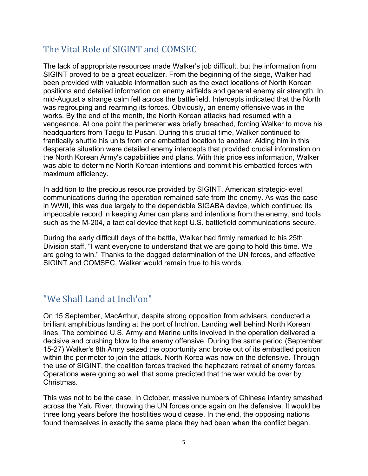# <span id="page-4-0"></span>The Vital Role of SIGINT and COMSEC

The lack of appropriate resources made Walker's job difficult, but the information from SIGINT proved to be a great equalizer. From the beginning of the siege, Walker had been provided with valuable information such as the exact locations of North Korean positions and detailed information on enemy airfields and general enemy air strength. In mid-August a strange calm fell across the battlefield. Intercepts indicated that the North was regrouping and rearming its forces. Obviously, an enemy offensive was in the works. By the end of the month, the North Korean attacks had resumed with a vengeance. At one point the perimeter was briefly breached, forcing Walker to move his headquarters from Taegu to Pusan. During this crucial time, Walker continued to frantically shuttle his units from one embattled location to another. Aiding him in this desperate situation were detailed enemy intercepts that provided crucial information on the North Korean Army's capabilities and plans. With this priceless information, Walker was able to determine North Korean intentions and commit his embattled forces with maximum efficiency.

In addition to the precious resource provided by SIGINT, American strategic-level communications during the operation remained safe from the enemy. As was the case in WWII, this was due largely to the dependable SIGABA device, which continued its impeccable record in keeping American plans and intentions from the enemy, and tools such as the M-204, a tactical device that kept U.S. battlefield communications secure.

During the early difficult days of the battle, Walker had firmly remarked to his 25th Division staff, "I want everyone to understand that we are going to hold this time. We are going to win." Thanks to the dogged determination of the UN forces, and effective SIGINT and COMSEC, Walker would remain true to his words.

### <span id="page-4-1"></span>"We Shall Land at Inch'on"

On 15 September, MacArthur, despite strong opposition from advisers, conducted a brilliant amphibious landing at the port of Inch'on. Landing well behind North Korean lines. The combined U.S. Army and Marine units involved in the operation delivered a decisive and crushing blow to the enemy offensive. During the same period (September 15-27) Walker's 8th Army seized the opportunity and broke out of its embattled position within the perimeter to join the attack. North Korea was now on the defensive. Through the use of SIGINT, the coalition forces tracked the haphazard retreat of enemy forces. Operations were going so well that some predicted that the war would be over by Christmas.

This was not to be the case. In October, massive numbers of Chinese infantry smashed across the Yalu River, throwing the UN forces once again on the defensive. It would be three long years before the hostilities would cease. In the end, the opposing nations found themselves in exactly the same place they had been when the conflict began.